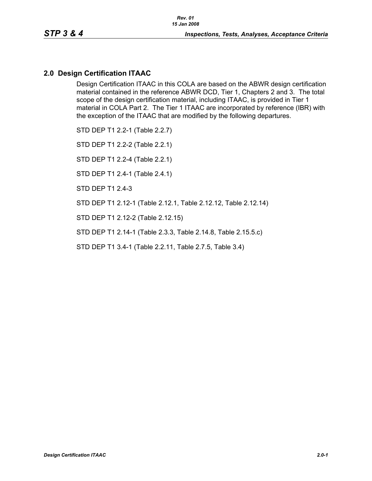# **2.0 Design Certification ITAAC**

Design Certification ITAAC in this COLA are based on the ABWR design certification material contained in the reference ABWR DCD, Tier 1, Chapters 2 and 3. The total scope of the design certification material, including ITAAC, is provided in Tier 1 material in COLA Part 2. The Tier 1 ITAAC are incorporated by reference (IBR) with the exception of the ITAAC that are modified by the following departures.

STD DEP T1 2.2-1 (Table 2.2.7)

STD DEP T1 2.2-2 (Table 2.2.1)

STD DEP T1 2.2-4 (Table 2.2.1)

STD DEP T1 2.4-1 (Table 2.4.1)

STD DEP T1 2.4-3

STD DEP T1 2.12-1 (Table 2.12.1, Table 2.12.12, Table 2.12.14)

STD DEP T1 2.12-2 (Table 2.12.15)

STD DEP T1 2.14-1 (Table 2.3.3, Table 2.14.8, Table 2.15.5.c)

STD DEP T1 3.4-1 (Table 2.2.11, Table 2.7.5, Table 3.4)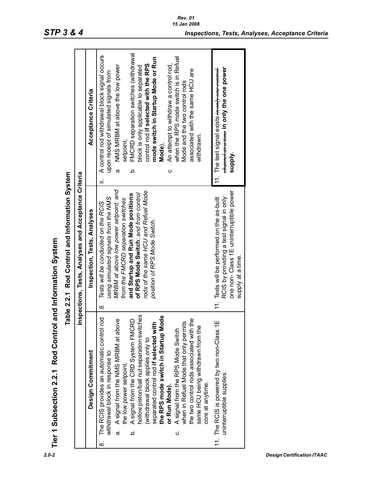|                                                            |                                               |                                                      | Acceptance Criteria         | FMCRD separation switches (withdrawal<br>A control rod withdrawal block signal occurs<br>mode switch in Startup Mode or Run<br>when the RPS mode switch is in Refuel<br>control rod if selected with the RPS<br>An attempt to withdraw a control rod,<br>NMS MRBM at above the low power<br>block is only applicable to separated<br>associated with the same HCU are<br>upon receipt of simulated signals from:<br>Mode and the two control rods<br>withdrawn.<br>setpoint,<br>Mode),<br>$\circ$<br>ω<br>≏<br>$\infty$                                                                 | ehame at a time in only the one power<br>11. The test signal exists <del>in only one control</del><br>supply.                                          |
|------------------------------------------------------------|-----------------------------------------------|------------------------------------------------------|-----------------------------|-----------------------------------------------------------------------------------------------------------------------------------------------------------------------------------------------------------------------------------------------------------------------------------------------------------------------------------------------------------------------------------------------------------------------------------------------------------------------------------------------------------------------------------------------------------------------------------------|--------------------------------------------------------------------------------------------------------------------------------------------------------|
| Tier 1 Subsection 2.2.1 Rod Control and Information System | able 2.2.1 Rod Control and Information System | Inspections, Tests, Analyses and Acceptance Criteria | Inspection, Tests, Analyses | MRBM at above low power setpoint; and<br>rods of the same HCU and Refuel Mode<br>of RPS Mode Switch; and from control<br>and Startup and Run Mode positions<br>using simulated signals from the NMS<br>from the FMCRD separation switches<br>Tests will be conducted on the RCIS<br>position of RPS Mode Switch.<br>ထဲ                                                                                                                                                                                                                                                                  | one non- Class 1E uninterruptible power<br>RCIS by providing a test signal in only<br>11. Tests will be performed on the as-built<br>supply at a time. |
|                                                            |                                               |                                                      | Design Commitment           | hollow piston/ball nut separation switches<br>the RPS mode switch in Startup Mode<br>The RCIS provides an automatic control rod<br>the two control rods associated with the<br>A signal from the NMS MRBM at above<br>A signal from the CRD System FMCRD<br>separated control rod if selected with<br>when in Refuel Mode that only permits<br>same HCU being withdrawn from the<br>A signal from the RPS Mode Switch<br>(withdrawal block applies only to<br>withdrawal block in response to:<br>the low power setpoint.<br>core at anytime.<br>or Run Mode).<br>.<br>ത<br>خ<br>ن<br>ထ | 11. The RCIS is powered by two non-Class 1E<br>uninterruptible supplies.                                                                               |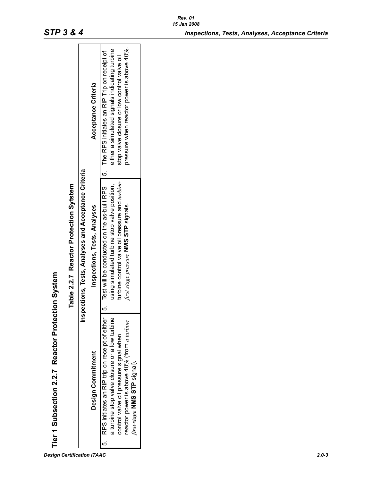| Tier 1 Subsection 2.2.7 Reactor Protection System                                                                                                                                                                       |                                                                                                                                               |                                                                                                                                                                                                                                          |
|-------------------------------------------------------------------------------------------------------------------------------------------------------------------------------------------------------------------------|-----------------------------------------------------------------------------------------------------------------------------------------------|------------------------------------------------------------------------------------------------------------------------------------------------------------------------------------------------------------------------------------------|
|                                                                                                                                                                                                                         | Table 2.2.7 Reactor Protection Sytstem                                                                                                        |                                                                                                                                                                                                                                          |
|                                                                                                                                                                                                                         | Inspections, Tests, Analyses and Acceptance Criteria                                                                                          |                                                                                                                                                                                                                                          |
| Design Commitment                                                                                                                                                                                                       | Inspections, Tests, Analyses                                                                                                                  | Acceptance Criteria                                                                                                                                                                                                                      |
| RPS initiates an RIP trip on receipt of either<br>a turbine stop valve closure or a low turbine<br>reactor power is above 40% (from a turbine<br>control valve oil pressure signal when<br>first stage NMS STP signal). | turbine control valve oil pressure and turbine<br>using simulated turbine stop valve position,<br>first stage pressure NMS STP signals.<br>ເດ | pressure when reactor power is above 40%.<br>either a simulated signals indicating turbine<br>Test will be conducted on the as-built RPS   5. The RPS initiates an RIP Trip on receipt of<br>stop valve closure or low control valve oil |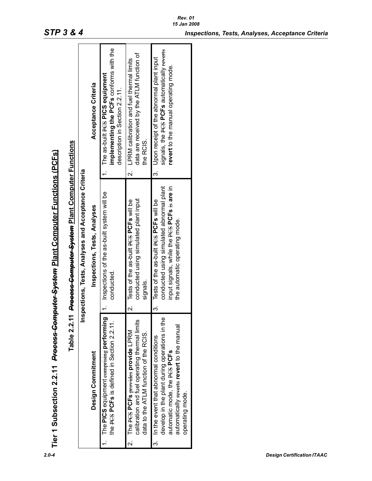| implementing the PCFs conforms with the<br>signals, the PCS PCFs automatically reverts<br>data are received by the ATLM function of<br>3. Upon receipt of the abnormal plant input<br>2. LPRM calibration and fuel thermal limits<br>revert to the manual operating mode.<br>The as-built PCS PICS equipment<br>Acceptance Criteria<br>description in Section 2.2.11.<br>the RCIS.<br>Precess Computer System Plant Computer Functions<br>Inspections, Tests, Analyses and Acceptance Criteria<br>conducted using simulated abnormal plant<br>input signals, while the PCS PCFs is are in<br>Inspections of the as-built system will be<br>conducted using simulated plant input<br>2. Tests of the as-built PCS PCFs will be<br>Tests of the as-built PCE's will be<br>Inspections, Tests, Analyses<br>the automatic operating mode.<br>conducted.<br>signals.<br>$\dot{\infty}$<br>Table 2.2.11<br>The PICS equipment comprising performing<br>develop in the plant during operations in the<br>calibration and fuel operating thermal limits<br>the PCS PCFs is defined in Section 2.2.11.<br>automatically reverts revert to the manual<br>The PCS PCFs provides provide LPRM<br>data to the ATLM function of the RCIS.<br>3. In the event that abnormal conditions<br>automatic mode, the PCS PCFs<br>Design Commitment<br>operating mode.<br>$\mathbf{c}$ | Tier 1 Subsection 2.2.11 <del>Process Computer System</del> Plant Computer Functions (PCFs) |  |  |
|-----------------------------------------------------------------------------------------------------------------------------------------------------------------------------------------------------------------------------------------------------------------------------------------------------------------------------------------------------------------------------------------------------------------------------------------------------------------------------------------------------------------------------------------------------------------------------------------------------------------------------------------------------------------------------------------------------------------------------------------------------------------------------------------------------------------------------------------------------------------------------------------------------------------------------------------------------------------------------------------------------------------------------------------------------------------------------------------------------------------------------------------------------------------------------------------------------------------------------------------------------------------------------------------------------------------------------------------------------------------|---------------------------------------------------------------------------------------------|--|--|
|                                                                                                                                                                                                                                                                                                                                                                                                                                                                                                                                                                                                                                                                                                                                                                                                                                                                                                                                                                                                                                                                                                                                                                                                                                                                                                                                                                 |                                                                                             |  |  |
|                                                                                                                                                                                                                                                                                                                                                                                                                                                                                                                                                                                                                                                                                                                                                                                                                                                                                                                                                                                                                                                                                                                                                                                                                                                                                                                                                                 |                                                                                             |  |  |
|                                                                                                                                                                                                                                                                                                                                                                                                                                                                                                                                                                                                                                                                                                                                                                                                                                                                                                                                                                                                                                                                                                                                                                                                                                                                                                                                                                 |                                                                                             |  |  |
|                                                                                                                                                                                                                                                                                                                                                                                                                                                                                                                                                                                                                                                                                                                                                                                                                                                                                                                                                                                                                                                                                                                                                                                                                                                                                                                                                                 |                                                                                             |  |  |
|                                                                                                                                                                                                                                                                                                                                                                                                                                                                                                                                                                                                                                                                                                                                                                                                                                                                                                                                                                                                                                                                                                                                                                                                                                                                                                                                                                 |                                                                                             |  |  |
|                                                                                                                                                                                                                                                                                                                                                                                                                                                                                                                                                                                                                                                                                                                                                                                                                                                                                                                                                                                                                                                                                                                                                                                                                                                                                                                                                                 |                                                                                             |  |  |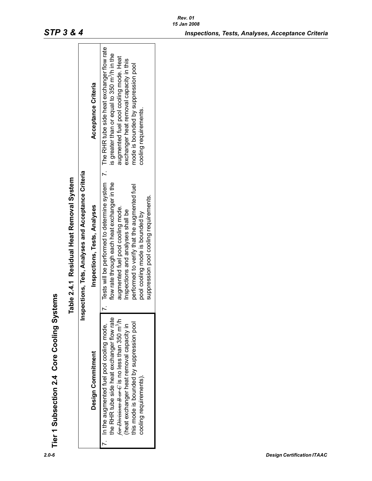| Tier 1 Subsection 2.4 Core Cooling Systems |                                                                                                                                                                                                                                                                           |                                                                                                                                                                                                                                                                                                                                                 |                                                                                                                                                                                                               |
|--------------------------------------------|---------------------------------------------------------------------------------------------------------------------------------------------------------------------------------------------------------------------------------------------------------------------------|-------------------------------------------------------------------------------------------------------------------------------------------------------------------------------------------------------------------------------------------------------------------------------------------------------------------------------------------------|---------------------------------------------------------------------------------------------------------------------------------------------------------------------------------------------------------------|
|                                            |                                                                                                                                                                                                                                                                           | Table 2.4.1 Residual Heat Removal System                                                                                                                                                                                                                                                                                                        |                                                                                                                                                                                                               |
|                                            |                                                                                                                                                                                                                                                                           | Inspections, Tets, Analyses and Acceptance Criteria                                                                                                                                                                                                                                                                                             |                                                                                                                                                                                                               |
|                                            | Design Commitment                                                                                                                                                                                                                                                         | Inspections, Tests, Analyses                                                                                                                                                                                                                                                                                                                    | Acceptance Criteria                                                                                                                                                                                           |
|                                            | the RHR tube side heat exchanger flow rate<br>for Divisions B or C is no less than 350 m <sup>3</sup> /h<br>this mode is bounded by suppression pool<br>(heat exchanger heat removal capacity in<br>7. In the augmented fuel pool cooling mode,<br>cooling requirements). | Tests will be performed to determine system 7. The RHR tube side heat exchanger flow rate<br>flow rate through each heat exchanger in the<br>performed to verify that the augmented fuel<br>suppression pool cooling requirements.<br>augmented fuel pool cooling mode.<br>Inspections and analyses shall be<br>pool cooling mode is bounded by | is greater than or equal to 350 m <sup>3</sup> /h in the<br>augmented fuel pool cooling mode. Heat<br>exchanger heat removal capacity in this<br>mode is bounded by suppression pool<br>cooling requirements. |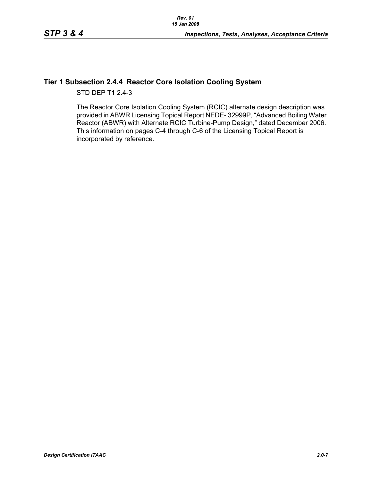## **Tier 1 Subsection 2.4.4 Reactor Core Isolation Cooling System**

STD DEP T1 2.4-3

The Reactor Core Isolation Cooling System (RCIC) alternate design description was provided in ABWR Licensing Topical Report NEDE- 32999P, "Advanced Boiling Water Reactor (ABWR) with Alternate RCIC Turbine-Pump Design," dated December 2006. This information on pages C-4 through C-6 of the Licensing Topical Report is incorporated by reference.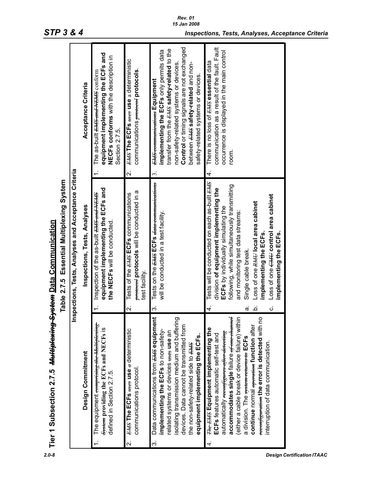|    | Tier 1 Subsection 2.7.5 <del>Multiplexing System</del> Data Communication                                                                                                                                                                                                                                                                                                                                                                                  | Essential Multiplexing System<br>Table 2.7.5                                                                                                                                                                                                                                                                                                                                                                      |                                                                                                                                                                                                                                                                                                                 |
|----|------------------------------------------------------------------------------------------------------------------------------------------------------------------------------------------------------------------------------------------------------------------------------------------------------------------------------------------------------------------------------------------------------------------------------------------------------------|-------------------------------------------------------------------------------------------------------------------------------------------------------------------------------------------------------------------------------------------------------------------------------------------------------------------------------------------------------------------------------------------------------------------|-----------------------------------------------------------------------------------------------------------------------------------------------------------------------------------------------------------------------------------------------------------------------------------------------------------------|
|    | lnsp                                                                                                                                                                                                                                                                                                                                                                                                                                                       | ections, Tests, Analyses and Acceptance Criteria                                                                                                                                                                                                                                                                                                                                                                  |                                                                                                                                                                                                                                                                                                                 |
|    | Design Commitment                                                                                                                                                                                                                                                                                                                                                                                                                                          | Inspections, Tests, Analyses                                                                                                                                                                                                                                                                                                                                                                                      | Acceptance Criteria                                                                                                                                                                                                                                                                                             |
|    | The equipment comprising the Multiplexing<br>System providing the ECFs and NECFs is<br>defined in Section 2.7.5.                                                                                                                                                                                                                                                                                                                                           | equipment implementing the ECFs and<br>Inspection of the as-built <del>EMS and NEMS</del><br>the NECFs will be conducted.                                                                                                                                                                                                                                                                                         | equipment implementing the ECFs and<br>NECFs conforms with the description in<br>The as-built <del>EMS and NEMS</del> conform<br>Section 2.7.5.                                                                                                                                                                 |
| Ń۰ | <b>EMS The ECFs #ses use a deterministic</b><br>communications protocol.                                                                                                                                                                                                                                                                                                                                                                                   | protocols will be conducted in a<br>Tests of the <b>EMS</b> ECFs communications<br>test facility.<br>$\overline{\mathsf{N}}$                                                                                                                                                                                                                                                                                      | <b>EMS The ECFs #505 use a deterministic</b><br>communications protocolocols<br>$\overline{\mathbf{v}}$                                                                                                                                                                                                         |
| ო  | Data communications from EHS equipment<br>isolating transmission medium and buffering<br>devices. Data cannot be transmitted from<br>implementing the ECFs to non-safety-<br>elated systems or devices ween use an<br>equipment implementing the ECFs.<br>the non-safety-related side to EHS                                                                                                                                                               | Tests on the EMS ECFs data communications<br>will be conducted in a test facility.<br>က                                                                                                                                                                                                                                                                                                                           | Control or timing signals are not exchanged<br>transfer from the EHS safety-related to the<br>implementing the ECFs only permits data<br>non-safety-related systems or devices.<br>between <b>EHS</b> safety-related and non-<br>safety-related systems or devices.<br><b>EMS</b> communications Equipment<br>ب |
| 4. | accommodates single failure <del>of one channel</del><br>reconfiguration the error is detected with no<br>(either a cable break or device failure) within<br>continue normal <del>operation</del> function after<br><b>He EAS Equipment implementing the</b><br>automatically <del>reconfigures after detecting</del><br>ECFs features automatic self-test and<br>a division. The <del>system returns to</del> ECFs<br>interruption of data communication. | Tests will be conducted on each as-built EMS<br>following, while simultaneously transmitting<br>division of equipment implementing the<br>Loss of one CHH control area cabinet<br>Loss of one RHH local area cabinet<br>ECFS by individually simulating the<br>and monitoring test data streams:<br>implementing the ECFs.<br>implementing the ECFs.<br>Single cable break.<br>4.<br>ن<br>$\dot{\mathbf{a}}$<br>σ | communication as a result of the fault. Fault<br>occurrence is displayed in the main control<br>There is no loss of <del>EMS</del> essential data<br>room.<br>4.                                                                                                                                                |

| ֧֚֡֬֝֟֓֓֝֬<br>֧֧֛֛֪֪֚֩֩֕֩֕֩֓֜֜֜֜֜֜֜֜֝֝<br>ì                                                              |
|----------------------------------------------------------------------------------------------------------|
|                                                                                                          |
| Thorough a line of the line<br>ั<br>:<br>:<br>ייני                                                       |
| こ いっこ<br>.<br>י<br>֖֧֪֪ׅ֪֪֪֪֦֪֪֦֧֧֧֪֪֪֪֪֪֪֦֧֧֪֪֪֪֪֪֪֪֪֪֪֪֪֛֪֪֛֪֪֛֪֛֪֛֚֚֚֚֚֚֚֚֚֚֚֚֚֚֡֝֝֝֝֝֓֝֝֝֟֓֟֓֝֬֝֓֝֓֝ |
| とくしもく                                                                                                    |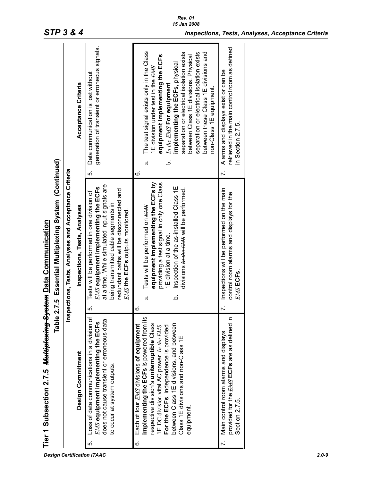|    | Tier 1 Subsection 2.7.5 <del>Multiplexing System</del> Data Communication                                                                                                                                                                                                                                                            |                                                                                                                                                                                                                                                                                        |                                                                                                                                                                                                                                                                                                                                                                                                                  |
|----|--------------------------------------------------------------------------------------------------------------------------------------------------------------------------------------------------------------------------------------------------------------------------------------------------------------------------------------|----------------------------------------------------------------------------------------------------------------------------------------------------------------------------------------------------------------------------------------------------------------------------------------|------------------------------------------------------------------------------------------------------------------------------------------------------------------------------------------------------------------------------------------------------------------------------------------------------------------------------------------------------------------------------------------------------------------|
|    | Table:                                                                                                                                                                                                                                                                                                                               | 2.7.5 Essential Multiplexing System (Continued)                                                                                                                                                                                                                                        |                                                                                                                                                                                                                                                                                                                                                                                                                  |
|    |                                                                                                                                                                                                                                                                                                                                      | Inspections, Tests, Analyses and Acceptance Criteria                                                                                                                                                                                                                                   |                                                                                                                                                                                                                                                                                                                                                                                                                  |
|    | Design Commitment                                                                                                                                                                                                                                                                                                                    | Inspections, Tests, Analyses                                                                                                                                                                                                                                                           | Acceptance Criteria                                                                                                                                                                                                                                                                                                                                                                                              |
| cù | Loss of data communications in a division of<br>does not cause transient or erroneous data<br><b>EMS</b> equipment implementing the ECFs<br>to occur at system outputs.                                                                                                                                                              | at a time. While simulated input signals are<br><b>EAS</b> equipment implementing the ECFs<br>redundant paths will be disconnected and<br>Tests will be performed in one division of<br>being transmitted cable segments in<br><b>EMS the ECFs outputs monitored.</b><br>$\dot{\circ}$ | generation of transient or erroneous signals.<br>Data communication is lost without<br>$\dot{\circ}$                                                                                                                                                                                                                                                                                                             |
| Ġ  | implementing the ECFs is powered from its<br>between Class 1E divisions, and between<br>Each of four EHS divisions of equipment<br>respective division's uniterruptible Class<br>For the ECFs, independence is provided<br>1E <del>DC division</del> vital AC power. In the EMS<br>Class 1E divisions and non-Class 1E<br>equipment. | equipment implementing the ECFs by<br>providing a test signal in only one Class<br>Inspection of the as-installed Class 1E<br>divisions in the EMS will be performed.<br>Tests will be performed on EHS<br>E division at a time.<br>خ<br>d<br><u>ဖ</u>                                 | The test signal exists only in the Class<br>separation or electrical isolation exists<br>separation or electrical isolation exists<br>between these Class 1E divisions and<br>equipment implementing the ECFs.<br>between Class 1E divisions. Physical<br>implementing the ECFs, physical<br>1E division under test in the EMS<br><b>In the EMS For equipment</b><br>non-Class 1E equipment.<br>.<br>ح<br>ದ<br>ဖ |
|    | provided for the <b>EMS</b> ECFs are as defined in<br>7. Main control room alarms and displays<br>Section 2.7.5                                                                                                                                                                                                                      | 7. Inspections will be performed on the main<br>control room alarms and displays for the<br>EAS ECFS.                                                                                                                                                                                  | retrieved in the main control room as defined<br>Alarms and displays exist or can be<br>in Section 2.7.5.                                                                                                                                                                                                                                                                                                        |
|    |                                                                                                                                                                                                                                                                                                                                      |                                                                                                                                                                                                                                                                                        |                                                                                                                                                                                                                                                                                                                                                                                                                  |

*Design Certification ITAAC 2.0-9*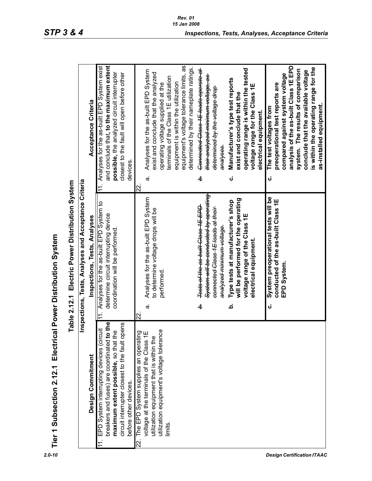| ı<br>۔<br>،                                                                                              |
|----------------------------------------------------------------------------------------------------------|
| ì                                                                                                        |
| $\bar{\ }$<br>֧֖֖֖֚֚֚֚֚֚֚֚֚֚֝<br>֧֧֖֧֪֚֚֚֚֚֚֚֚֚֚֚֚֚֚֚֝֝֝֝֬֝֝֝֝֬֝֓֝֬֝֬֝֬֝֬<br>֧֪֧֝֝֬ <u>֓</u><br>Ī.<br>J. |
| $\sim$ $\sim$ $\sim$<br>U                                                                                |
| 1.71.7<br>2010                                                                                           |
| $\frac{1}{2}$                                                                                            |
| $\frac{\overline{D}}{D}$                                                                                 |

| $2.0 - 10$                        | Tier 1 Subsection 2.12.1                                                                                                                                                                                           | Electrical Power Distribution System                                                                                                                          |                                                                                                                                                                                                                                                                                                 |
|-----------------------------------|--------------------------------------------------------------------------------------------------------------------------------------------------------------------------------------------------------------------|---------------------------------------------------------------------------------------------------------------------------------------------------------------|-------------------------------------------------------------------------------------------------------------------------------------------------------------------------------------------------------------------------------------------------------------------------------------------------|
|                                   |                                                                                                                                                                                                                    | Table 2.12.1 Electric Power Distribution System                                                                                                               |                                                                                                                                                                                                                                                                                                 |
|                                   |                                                                                                                                                                                                                    | Inspections, Tests, Analyses and Acceptance Criteria                                                                                                          |                                                                                                                                                                                                                                                                                                 |
|                                   | Design Commitment                                                                                                                                                                                                  | Inspections, Tests, Analyses                                                                                                                                  | Acceptance Criteria                                                                                                                                                                                                                                                                             |
|                                   | breakers and fuses) are coordinated to the<br>circuit interrupter closest to the fault opens<br>EPD System interrupting devices (circuit<br>maximum extent possible, so that the<br>before other devices.<br>$\pm$ | Analyses for the as-built EPD System to<br>determine circuit interrupting device<br>coordination will be performed.<br>$\frac{1}{1}$                          | and conclude that, to the maximum extent<br>Analyses for the as-built EPD System exist<br>possible, the analyzed circuit interrupter<br>closest to the fault will open before other<br>devices.<br>$\frac{1}{11}$                                                                               |
|                                   | utilization equipment's voltage tolerance<br>The EPD System supplies an operating<br>voltage at the terminals of the Class 1E<br>utilization equipment that is within the<br>limits.<br>ଧି                         | Analyses for the as-built EPD System<br>to determine voltage drops will be<br>performed.<br>$\vec{\sigma}$<br>22.                                             | Analyses for the as-built EPD System<br>exist and conclude that the analyzed<br>terminals of the Class 1E utilization<br>equipment is within the utilization<br>operating voltage supplied at the<br>$\vec{\sigma}$<br>22.                                                                      |
|                                   |                                                                                                                                                                                                                    | System will be conducted by operating<br>Tests of the as built Class 1E EPD<br>connected Class 1E loads at their<br><del>analyzed minimum voltage.</del><br>ዋ | equipment's voltage tolerance limits, as<br>determined by their nameplate ratings.<br>Connected Class 1E loads operate at<br><del>their analyzed minimum voltage, as</del><br>determined by the voltage drop<br>analyses.<br>þ.                                                                 |
|                                   |                                                                                                                                                                                                                    | will be performed for the operating<br>Type tests at manufacturer's shop<br>voltage range of the Class 1E<br>electrical equipment.<br>خ                       | operating range is within the tested<br>Manufacturer's type test reports<br>voltage range for the Class 1E<br>exist and conclude that the<br>electrical equipment.<br>ن                                                                                                                         |
| <b>Design Certification ITAAC</b> |                                                                                                                                                                                                                    | System preoperational tests will be<br>conducted of the as-built Class 1E<br>EPD System.<br>ن                                                                 | analysis of the as-built Class 1E EPD<br>is within the operating range for the<br>system. The results of comparison<br>conclude that the available voltage<br>compared against system voltage<br>preoperational test reports are<br>as-installed equipment.<br>The test voltages from<br>ن<br>ن |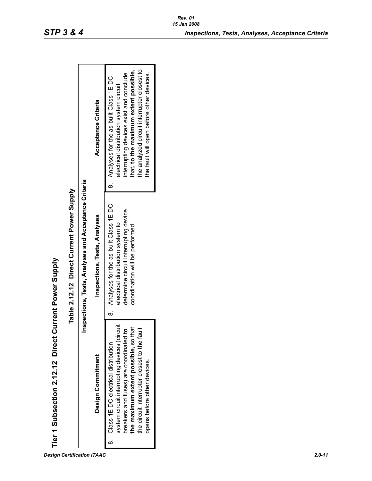| $\frac{1}{1}$<br>I |
|--------------------|
|                    |
|                    |
|                    |
| i<br>I             |
|                    |
|                    |
|                    |
|                    |
| I                  |
| ٦                  |
| $\frac{1}{2}$      |
|                    |
|                    |
| $\frac{1}{2}$      |
| $\frac{1}{2}$      |
| ・しょしょ              |
|                    |
|                    |
|                    |
|                    |
|                    |
|                    |
|                    |
|                    |
|                    |
| $\overline{a}$     |
| į                  |
| b                  |

| I |   |
|---|---|
|   |   |
|   |   |
|   |   |
|   |   |
|   |   |
|   |   |
|   | ֠ |
|   |   |
|   |   |
|   |   |
|   |   |
|   |   |
|   |   |
|   |   |
|   |   |
|   | l |
|   |   |
| I |   |
|   |   |
|   |   |
|   |   |
|   |   |
|   |   |
|   |   |
| ı |   |
| I |   |
|   |   |
|   |   |
|   |   |
|   |   |
| ı |   |
| ı |   |
|   |   |
|   |   |
|   |   |
| ı |   |
| ţ |   |
|   |   |
|   |   |
|   |   |
|   |   |
|   |   |
|   |   |

| Tier 1 Subsection 2.12.12 Direct Current Power Supply                                                                                                                                                                                                  |                                                                                                                                                          |                                                                                                                                                                                                                                                                    |
|--------------------------------------------------------------------------------------------------------------------------------------------------------------------------------------------------------------------------------------------------------|----------------------------------------------------------------------------------------------------------------------------------------------------------|--------------------------------------------------------------------------------------------------------------------------------------------------------------------------------------------------------------------------------------------------------------------|
|                                                                                                                                                                                                                                                        | Table 2.12.12 Direct Current Power Supply                                                                                                                |                                                                                                                                                                                                                                                                    |
|                                                                                                                                                                                                                                                        | nspections, Tests, Analyses and Acceptance Criteria                                                                                                      |                                                                                                                                                                                                                                                                    |
| Design Commitment                                                                                                                                                                                                                                      | Inspections, Tests, Analyses                                                                                                                             | Acceptance Criteria                                                                                                                                                                                                                                                |
| system circuit interrupting devices (circuit<br>the maximum extent possible, so that<br>breakers and fuses) are coordinated to<br>the circuit interrupter closest to the faul<br>8. Class 1E DC electrical distribution<br>opens before other devices. | 8. Analyses for the as-built Class 1EDC<br>determine circuit interrupting device<br>electrical distribution system to<br>coordination will be performed. | the analyzed circuit interrupter closest to<br>that, to the maximum extent possible,<br>interrupting devices exist and conclude<br>the fault will open before other devices.<br>8. Analyses for the as-built Class 1E DC<br>electrical distribution system circuit |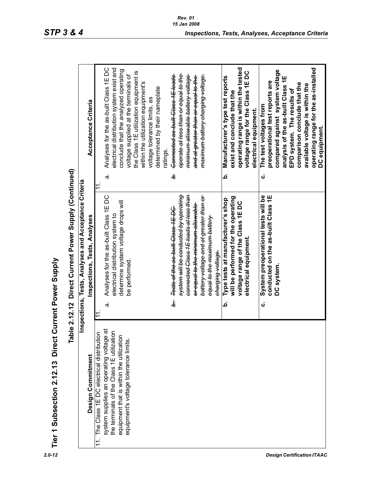| i<br>D<br>J<br>J        |
|-------------------------|
| ;<br>;<br>DAMO          |
| $\frac{1}{2}$<br>į<br>Į |
| Direct                  |
|                         |
| section 2.12.13         |
| -<br>ט<br>ז<br>Tier 1   |

| Tier 1 Subsection 2.12.13 Direct                       | Current Power Supply                                    |                                                 |
|--------------------------------------------------------|---------------------------------------------------------|-------------------------------------------------|
| 흔                                                      | Direct Current Power Supply (Continued)<br>ble 2.12.12  |                                                 |
|                                                        | Inspections, Tests, Analyses and Acceptance Criteria    |                                                 |
| Design Commitment                                      | Inspections, Tests, Analyses                            | Acceptance Criteria                             |
| The Class 1E DC electrical distribution                |                                                         | 11.                                             |
| $\overline{a}$<br>system supplies an operating voltage | Analyses for the as-built Class 1E DC<br>$\dot{\sigma}$ | Analyses for the as-built Class 1E DC<br>ä      |
| the terminals of the Class 1E utilization              | electrical distribution system to                       | electrical distribution system exist and        |
| equipment that is within the utilization               | determine system voltage drops will                     | conclude that the analyzed operating            |
| equipment's voltage tolerance limits.                  | be performed.                                           | voltage supplied at the terminals of            |
|                                                        |                                                         | the Class 1E utilization equipment is           |
|                                                        |                                                         | within the utilization equipment's              |
|                                                        |                                                         | voltage tolerance limits, as                    |
|                                                        |                                                         | determined by their nameplate                   |
|                                                        |                                                         | ratings.                                        |
|                                                        | Tests of the as built Class 1E DC<br>غ.                 | Connected as built Class 1E loads<br>à.         |
|                                                        | <del>system will be conducted by operating</del>        | <del>operate at less than or equal to the</del> |
|                                                        | connected Class 1E loads at less than                   | <del>minimum allowable battery voltage</del>    |
|                                                        | <del>or equal to the minimum allowable</del>            | <del>and at greater than or equal to the</del>  |
|                                                        | battery voltage and at greater than or-                 | <del>maximum battery charging voltage.</del>    |
|                                                        |                                                         |                                                 |
|                                                        | <del>equal to the maximum battery</del>                 |                                                 |
|                                                        | charging voltage.                                       |                                                 |
|                                                        | Type tests at manufacturer's shop<br>Ċ                  | Manufacturer's type test reports<br>خ           |
|                                                        | will be performed for the operating                     | exist and conclude that the                     |
|                                                        | voltage range of the Class 1EDC                         | operating range is within the tested            |
|                                                        | electrical equipment.                                   | voltage range for the Class 1E DC               |
|                                                        |                                                         | electrical equipment.                           |
|                                                        | System preoperational tests will be<br>ن                | The test voltages from<br>ن                     |
|                                                        | conducted on the as-built Class 1E                      | preoperational test reports are                 |
|                                                        | DC system                                               | compared against system voltage                 |
|                                                        |                                                         | analysis of the as-built Class 1E               |
|                                                        |                                                         | EPD system. The results of                      |
|                                                        |                                                         | comparison conclude that the                    |
|                                                        |                                                         | available voltage is within the                 |
|                                                        |                                                         | operating range for the as-installed            |
|                                                        |                                                         | DC equipment.                                   |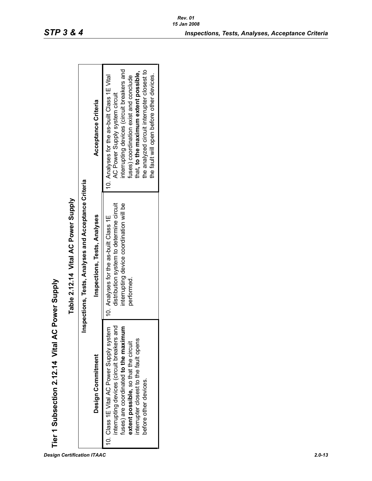|                                 |                                     |                                                      | Acceptance Criteria          | interrupting devices (circuit breakers and<br>the analyzed circuit interrupter closest to<br>that, to the maximum extent possible,<br>the fault will open before other devices.<br>10. Analyses for the as-built Class 1E Vital<br>fuses) coordination exist and conclude<br>AC Power Supply system circuit |
|---------------------------------|-------------------------------------|------------------------------------------------------|------------------------------|-------------------------------------------------------------------------------------------------------------------------------------------------------------------------------------------------------------------------------------------------------------------------------------------------------------|
| AC Power Supply                 | Table 2.12.14 Vital AC Power Supply | Inspections, Tests, Analyses and Acceptance Criteria | Inspections, Tests, Analyses | distribution system to determine circuit<br>interrupting device coordination will be<br>10. Analyses for the as-built Class 1E<br>performed.                                                                                                                                                                |
| Tier 1 Subsection 2.12.14 Vital |                                     |                                                      | Design Commitment            | interrupting devices (circuit breakers and<br>fuses) are coordinated to the maximum<br>10. Class 1E Vital AC Power Supply system<br>interrupter closest to the fault opens<br>extent possible, so that the circuit<br>before other devices.                                                                 |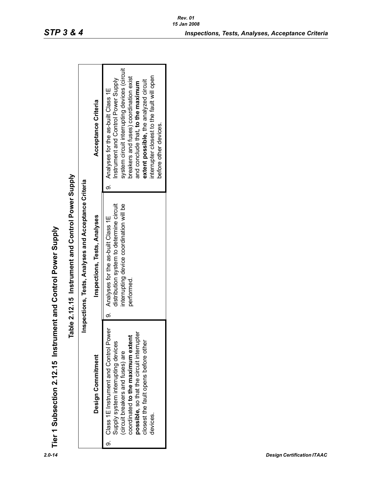| $\frac{1}{2}$ |
|---------------|
| I             |
| こちらん てらの      |
| ĺ             |
|               |
| $\frac{1}{2}$ |
| こ ロト ひとしょうじょく |
| Tier 1 S      |

| Tier 1 Subsection 2.12.15 Instrument and Control Power Supply                                                                                                                                                                                            |                                                                                                                                                |                                                                                                                                                                                                                                                                                                                             |
|----------------------------------------------------------------------------------------------------------------------------------------------------------------------------------------------------------------------------------------------------------|------------------------------------------------------------------------------------------------------------------------------------------------|-----------------------------------------------------------------------------------------------------------------------------------------------------------------------------------------------------------------------------------------------------------------------------------------------------------------------------|
|                                                                                                                                                                                                                                                          | Table 2.12.15 Instrument and Control Power Supply                                                                                              |                                                                                                                                                                                                                                                                                                                             |
|                                                                                                                                                                                                                                                          | nspections, Tests, Analyses and Acceptance Criteria                                                                                            |                                                                                                                                                                                                                                                                                                                             |
| Design Commitment                                                                                                                                                                                                                                        | Inspections, Tests, Analyses                                                                                                                   | Acceptance Criteria                                                                                                                                                                                                                                                                                                         |
| 9. Class 1E Instrument and Control Power<br>possible, so that the circuit interrupter<br>coordinated to the maximum extent<br>closest the fault opens before other<br>Supply system interrupting devices<br>(circuit breakers and fuses) are<br>devices. | distribution system to determine circuit<br>interrupting device coordination will be<br>Analyses for the as-built Class 1E<br>performed.<br>σ, | system circuit interrupting devices (circuit<br>interrupter closest to the fault will open<br>breakers and fuses) coordination exist<br>Instrument and Control Power Supply<br>extent possible, the analyzed circuit<br>and conclude that, to the maximum<br>9. Analyses for the as-built Class 1E<br>before other devices. |

*Rev. 01*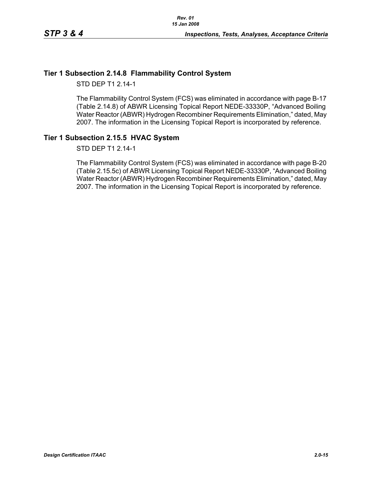### **Tier 1 Subsection 2.14.8 Flammability Control System**

STD DEP T1 2.14-1

The Flammability Control System (FCS) was eliminated in accordance with page B-17 (Table 2.14.8) of ABWR Licensing Topical Report NEDE-33330P, "Advanced Boiling Water Reactor (ABWR) Hydrogen Recombiner Requirements Elimination," dated, May 2007. The information in the Licensing Topical Report is incorporated by reference.

### **Tier 1 Subsection 2.15.5 HVAC System**

STD DEP T1 2.14-1

The Flammability Control System (FCS) was eliminated in accordance with page B-20 (Table 2.15.5c) of ABWR Licensing Topical Report NEDE-33330P, "Advanced Boiling Water Reactor (ABWR) Hydrogen Recombiner Requirements Elimination," dated, May 2007. The information in the Licensing Topical Report is incorporated by reference.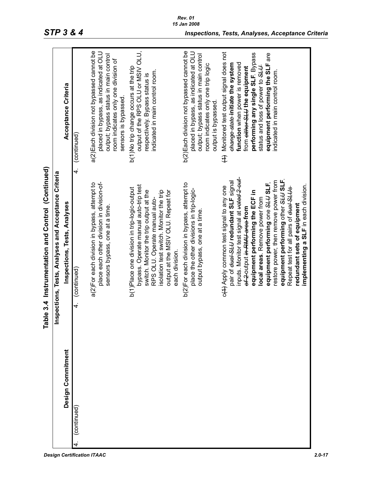|                   | Table 3.4 Instrumentation and Control (Continued)                                                                                                                                                                                                                                                                                                                                                                                                                                                 |                                                                                                                                                                                                                                                                                                  |
|-------------------|---------------------------------------------------------------------------------------------------------------------------------------------------------------------------------------------------------------------------------------------------------------------------------------------------------------------------------------------------------------------------------------------------------------------------------------------------------------------------------------------------|--------------------------------------------------------------------------------------------------------------------------------------------------------------------------------------------------------------------------------------------------------------------------------------------------|
|                   | bections, Tests, Analyses and Acceptance Criteria<br>insp                                                                                                                                                                                                                                                                                                                                                                                                                                         |                                                                                                                                                                                                                                                                                                  |
| Design Commitment | Inspections, Tests, Analyses                                                                                                                                                                                                                                                                                                                                                                                                                                                                      | Acceptance Criteria                                                                                                                                                                                                                                                                              |
| (continued)       | 4.<br>(continued)<br>4.                                                                                                                                                                                                                                                                                                                                                                                                                                                                           | (continued)                                                                                                                                                                                                                                                                                      |
|                   | place each other division in division-of-<br>a(2)For each division in bypass, attempt to<br>sensors bypass, one at a time.                                                                                                                                                                                                                                                                                                                                                                        | a(2) Each division not bypassed cannot be<br>placed in bypass, as indicated at OLU<br>output; bypass status in main control<br>room indicates only one division of<br>sensors is bypassed                                                                                                        |
|                   | bypass. Operate manual auto-trip test<br>b(1)Place one division in trip-logic-output<br>switch. Monitor the trip output at the<br>isolation test switch. Monitor the trip<br>output at the MSIV OLU. Repeat for<br>RPS OLU. Operate manual auto-<br>each division.                                                                                                                                                                                                                                | output of the RPS OLU or MSIV OLU,<br>b(1)No trip change occurs at the trip<br>indicated in main control room.<br>respectively. Bypass status is                                                                                                                                                 |
|                   | b(2)For each division in bypass, attempt to<br>place the other divisions in trip-logic-<br>output bypass, one at a time                                                                                                                                                                                                                                                                                                                                                                           | b(2) Each division not bypassed cannot be<br>placed in bypass, as indicated at OLU<br>output; bypass status in main control<br>room indicates only one trip logic<br>output is bypassed                                                                                                          |
|                   | inputs. Monitor test signal at <del>voted 2 out</del> -<br>equipment performing other SLUSLF.<br>restore power, then remove power from<br>pair of <del>dual SLU</del> redundant SLF signal<br>equipment performing one SLUSLF,<br>implementing a SLF in each division.<br>c(++) Apply common test signal to any one<br>Repeat test for all pairs of dual SLUs<br>equipment performing the ECF in<br>local areas. Remove power from<br>redundant sets of equipment<br>of-2-output in RMU area from | Monitored test output signal does not<br>performing any single SLF. Bypass<br>equipment performing the SLF are<br>function when power is removed<br>change state initiate the system<br>status and loss of power to SLU<br>from either-SLU the equipment<br>indicated in main control room.<br>£ |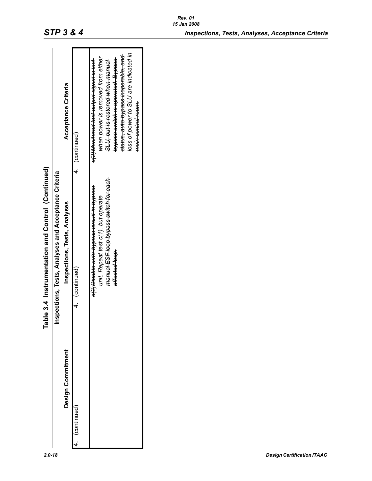|                   | e 3.4 Instrumentation and Control (Continued)<br>la<br>M                                                                                                 |                                                                                                                                                                                                                                                                                     |
|-------------------|----------------------------------------------------------------------------------------------------------------------------------------------------------|-------------------------------------------------------------------------------------------------------------------------------------------------------------------------------------------------------------------------------------------------------------------------------------|
|                   | Inspections, Tests, Analyses and Acceptance Criteria                                                                                                     |                                                                                                                                                                                                                                                                                     |
| Design Commitment | Inspections, Tests, Analyses                                                                                                                             | Acceptance Criteria                                                                                                                                                                                                                                                                 |
| (continued)       | 4. (continued)                                                                                                                                           | 4. (continued)                                                                                                                                                                                                                                                                      |
|                   | manual ESF loop bypass switch for each<br>e(2) Disable auto bypass circuit in bypass<br><del>unit. Repeat test c(1), but operate</del><br>affected loop. | loss of power to SLU are indicated in<br>status, auto bypass inoperable, and<br>when power is removed from either<br><del>bypass switch is operated. Bypass</del><br>e(2) Monitored test output signal is lost<br><del>SLU, but is restored when manual</del><br>main control room. |